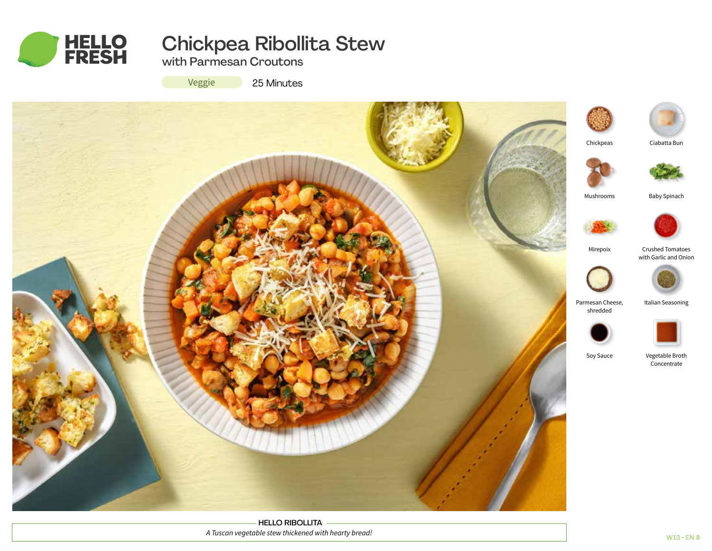

# Chickpea Ribollita Stew

with Parmesan Croutons

Veggie

25 Minutes



HELLO RIBOLLITA *A Tuscan vegetable stew thickened with hearty bread!*